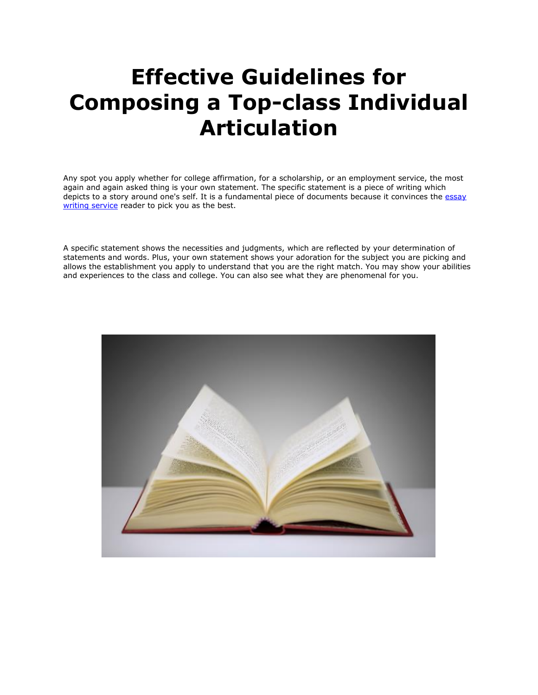# **Effective Guidelines for Composing a Top-class Individual Articulation**

Any spot you apply whether for college affirmation, for a scholarship, or an employment service, the most again and again asked thing is your own statement. The specific statement is a piece of writing which depicts to a story around one's self. It is a fundamental piece of documents because it convinces the essay [writing service](https://www.myperfectwords.com/) reader to pick you as the best.

A specific statement shows the necessities and judgments, which are reflected by your determination of statements and words. Plus, your own statement shows your adoration for the subject you are picking and allows the establishment you apply to understand that you are the right match. You may show your abilities and experiences to the class and college. You can also see what they are phenomenal for you.

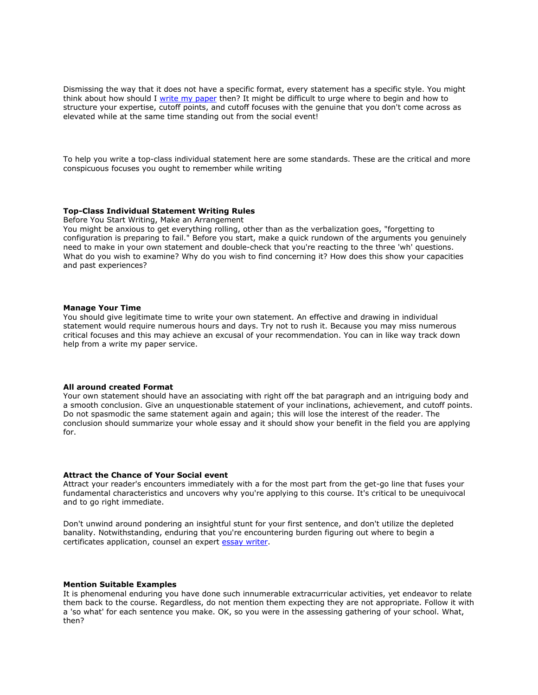Dismissing the way that it does not have a specific format, every statement has a specific style. You might think about how should I <u>[write my paper](https://www.myperfectpaper.net/)</u> then? It might be difficult to urge where to begin and how to structure your expertise, cutoff points, and cutoff focuses with the genuine that you don't come across as elevated while at the same time standing out from the social event!

To help you write a top-class individual statement here are some standards. These are the critical and more conspicuous focuses you ought to remember while writing

# **Top-Class Individual Statement Writing Rules**

Before You Start Writing, Make an Arrangement

You might be anxious to get everything rolling, other than as the verbalization goes, "forgetting to configuration is preparing to fail." Before you start, make a quick rundown of the arguments you genuinely need to make in your own statement and double-check that you're reacting to the three 'wh' questions. What do you wish to examine? Why do you wish to find concerning it? How does this show your capacities and past experiences?

### **Manage Your Time**

You should give legitimate time to write your own statement. An effective and drawing in individual statement would require numerous hours and days. Try not to rush it. Because you may miss numerous critical focuses and this may achieve an excusal of your recommendation. You can in like way track down help from a write my paper service.

# **All around created Format**

Your own statement should have an associating with right off the bat paragraph and an intriguing body and a smooth conclusion. Give an unquestionable statement of your inclinations, achievement, and cutoff points. Do not spasmodic the same statement again and again; this will lose the interest of the reader. The conclusion should summarize your whole essay and it should show your benefit in the field you are applying for.

# **Attract the Chance of Your Social event**

Attract your reader's encounters immediately with a for the most part from the get-go line that fuses your fundamental characteristics and uncovers why you're applying to this course. It's critical to be unequivocal and to go right immediate.

Don't unwind around pondering an insightful stunt for your first sentence, and don't utilize the depleted banality. Notwithstanding, enduring that you're encountering burden figuring out where to begin a certificates application, counsel an expert [essay writer.](https://www.5staressays.com/)

### **Mention Suitable Examples**

It is phenomenal enduring you have done such innumerable extracurricular activities, yet endeavor to relate them back to the course. Regardless, do not mention them expecting they are not appropriate. Follow it with a 'so what' for each sentence you make. OK, so you were in the assessing gathering of your school. What, then?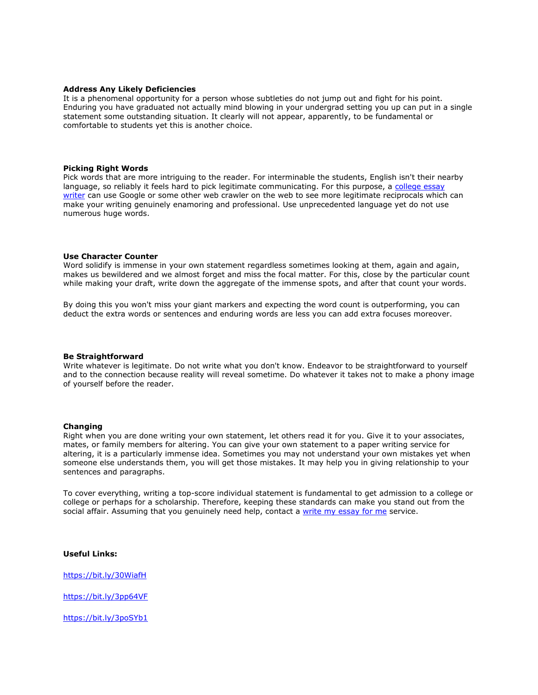# **Address Any Likely Deficiencies**

It is a phenomenal opportunity for a person whose subtleties do not jump out and fight for his point. Enduring you have graduated not actually mind blowing in your undergrad setting you up can put in a single statement some outstanding situation. It clearly will not appear, apparently, to be fundamental or comfortable to students yet this is another choice.

#### **Picking Right Words**

Pick words that are more intriguing to the reader. For interminable the students, English isn't their nearby language, so reliably it feels hard to pick legitimate communicating. For this purpose, a college essay [writer](https://www.collegeessay.org/) can use Google or some other web crawler on the web to see more legitimate reciprocals which can make your writing genuinely enamoring and professional. Use unprecedented language yet do not use numerous huge words.

## **Use Character Counter**

Word solidify is immense in your own statement regardless sometimes looking at them, again and again, makes us bewildered and we almost forget and miss the focal matter. For this, close by the particular count while making your draft, write down the aggregate of the immense spots, and after that count your words.

By doing this you won't miss your giant markers and expecting the word count is outperforming, you can deduct the extra words or sentences and enduring words are less you can add extra focuses moreover.

#### **Be Straightforward**

Write whatever is legitimate. Do not write what you don't know. Endeavor to be straightforward to yourself and to the connection because reality will reveal sometime. Do whatever it takes not to make a phony image of yourself before the reader.

#### **Changing**

Right when you are done writing your own statement, let others read it for you. Give it to your associates, mates, or family members for altering. You can give your own statement to a paper writing service for altering, it is a particularly immense idea. Sometimes you may not understand your own mistakes yet when someone else understands them, you will get those mistakes. It may help you in giving relationship to your sentences and paragraphs.

To cover everything, writing a top-score individual statement is fundamental to get admission to a college or college or perhaps for a scholarship. Therefore, keeping these standards can make you stand out from the social affair. Assuming that you genuinely need help, contact a [write my essay for me](https://www.writemyessay.help/) service.

**Useful Links:**

<https://bit.ly/30WiafH>

<https://bit.ly/3pp64VF>

<https://bit.ly/3poSYb1>